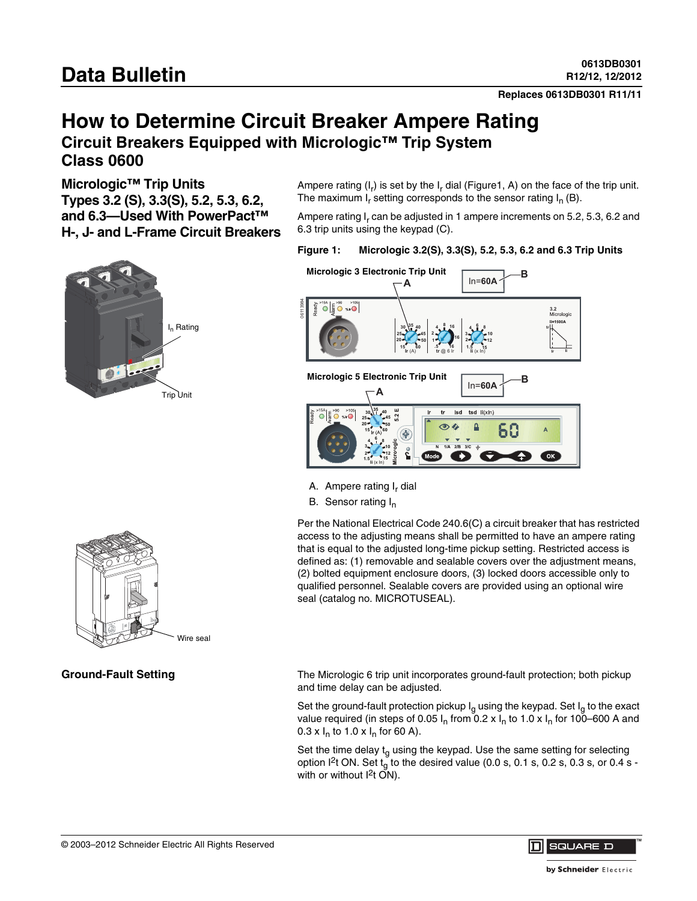**Replaces 0613DB0301 R11/11**

# **How to Determine Circuit Breaker Ampere Rating Circuit Breakers Equipped with Micrologic™ Trip System**

**Class 0600**

**Micrologic™ Trip Units** 

**Types 3.2 (S), 3.3(S), 5.2, 5.3, 6.2, and 6.3—Used With PowerPact™ H-, J- and L-Frame Circuit Breakers**



Ampere rating  $(I_r)$  is set by the  $I_r$  dial (Figure1, A) on the face of the trip unit. The maximum  $I_r$  setting corresponds to the sensor rating  $I_n$  (B).

Ampere rating I, can be adjusted in 1 ampere increments on 5.2, 5.3, 6.2 and 6.3 trip units using the keypad (C).

### **Figure 1: Micrologic 3.2(S), 3.3(S), 5.2, 5.3, 6.2 and 6.3 Trip Units**



- A. Ampere rating I, dial
- B. Sensor rating I<sub>n</sub>

Per the National Electrical Code 240.6(C) a circuit breaker that has restricted access to the adjusting means shall be permitted to have an ampere rating that is equal to the adjusted long-time pickup setting. Restricted access is defined as: (1) removable and sealable covers over the adjustment means, (2) bolted equipment enclosure doors, (3) locked doors accessible only to qualified personnel. Sealable covers are provided using an optional wire seal (catalog no. MICROTUSEAL).

Ground-Fault Setting **The Micrologic 6 trip unit incorporates ground-fault protection; both pickup** and time delay can be adjusted.

> Set the ground-fault protection pickup  $I_q$  using the keypad. Set  $I_q$  to the exact value required (in steps of 0.05  $I_n$  from 0.2 x  $I_n$  to 1.0 x  $I_n$  for 100–600 A and  $0.3 \times I_n$  to 1.0 x  $I_n$  for 60 A).

> Set the time delay  $t_g$  using the keypad. Use the same setting for selecting option  $1^2$ t ON. Set t<sub>g</sub> to the desired value (0.0 s, 0.1 s, 0.2 s, 0.3 s, or 0.4 s with or without  $12t$  ON).



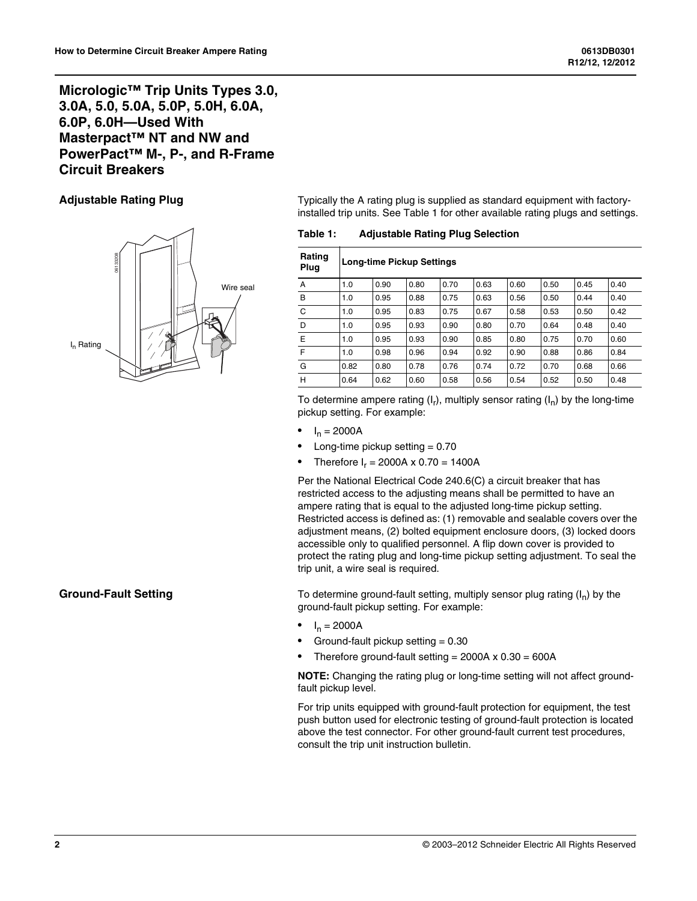## **Micrologic™ Trip Units Types 3.0, 3.0A, 5.0, 5.0A, 5.0P, 5.0H, 6.0A, 6.0P, 6.0H—Used With Masterpact™ NT and NW and PowerPact™ M-, P-, and R-Frame Circuit Breakers**



**Adjustable Rating Plug** Typically the A rating plug is supplied as standard equipment with factoryinstalled trip units. See Table 1 for other available rating plugs and settings.

**Table 1: Adjustable Rating Plug Selection**

| Rating<br>Plug | <b>Long-time Pickup Settings</b> |      |      |      |      |      |      |      |      |
|----------------|----------------------------------|------|------|------|------|------|------|------|------|
| A              | 1.0                              | 0.90 | 0.80 | 0.70 | 0.63 | 0.60 | 0.50 | 0.45 | 0.40 |
| B              | 1.0                              | 0.95 | 0.88 | 0.75 | 0.63 | 0.56 | 0.50 | 0.44 | 0.40 |
| C              | 1.0                              | 0.95 | 0.83 | 0.75 | 0.67 | 0.58 | 0.53 | 0.50 | 0.42 |
| D              | 1.0                              | 0.95 | 0.93 | 0.90 | 0.80 | 0.70 | 0.64 | 0.48 | 0.40 |
| E              | 1.0                              | 0.95 | 0.93 | 0.90 | 0.85 | 0.80 | 0.75 | 0.70 | 0.60 |
| F              | 1.0                              | 0.98 | 0.96 | 0.94 | 0.92 | 0.90 | 0.88 | 0.86 | 0.84 |
| G              | 0.82                             | 0.80 | 0.78 | 0.76 | 0.74 | 0.72 | 0.70 | 0.68 | 0.66 |
| H              | 0.64                             | 0.62 | 0.60 | 0.58 | 0.56 | 0.54 | 0.52 | 0.50 | 0.48 |

To determine ampere rating  $(I_r)$ , multiply sensor rating  $(I_n)$  by the long-time pickup setting. For example:

- $I_n = 2000A$
- Long-time pickup setting  $= 0.70$
- Therefore  $I_r = 2000A \times 0.70 = 1400A$

Per the National Electrical Code 240.6(C) a circuit breaker that has restricted access to the adjusting means shall be permitted to have an ampere rating that is equal to the adjusted long-time pickup setting. Restricted access is defined as: (1) removable and sealable covers over the adjustment means, (2) bolted equipment enclosure doors, (3) locked doors accessible only to qualified personnel. A flip down cover is provided to protect the rating plug and long-time pickup setting adjustment. To seal the trip unit, a wire seal is required.

**Ground-Fault Setting** To determine ground-fault setting, multiply sensor plug rating (I<sub>n</sub>) by the ground-fault pickup setting. For example:

- $I_n = 2000A$
- Ground-fault pickup setting  $= 0.30$
- Therefore ground-fault setting =  $2000A \times 0.30 = 600A$

**NOTE:** Changing the rating plug or long-time setting will not affect groundfault pickup level.

For trip units equipped with ground-fault protection for equipment, the test push button used for electronic testing of ground-fault protection is located above the test connector. For other ground-fault current test procedures, consult the trip unit instruction bulletin.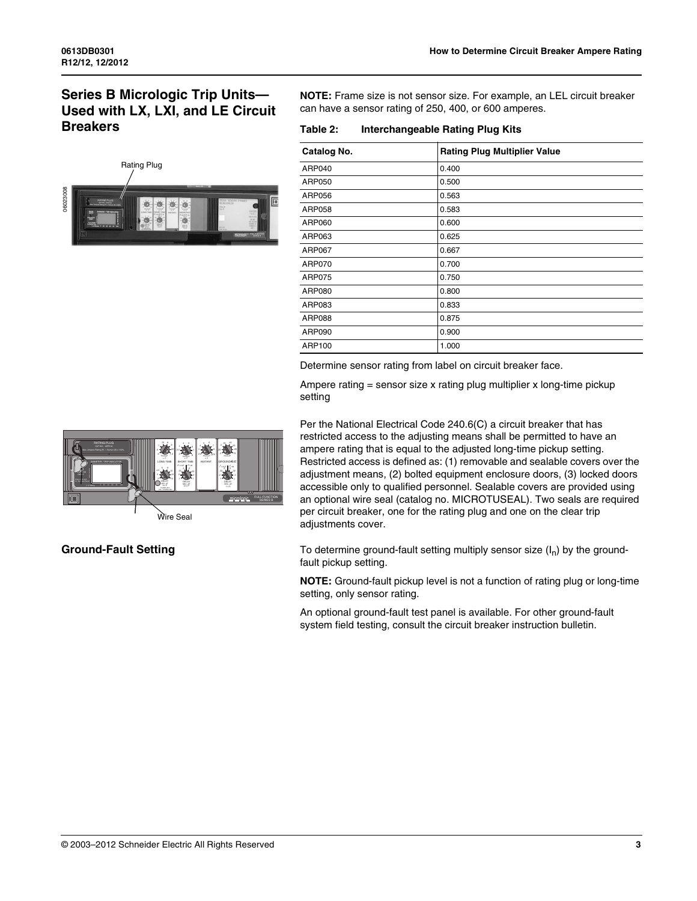## **Series B Micrologic Trip Units— Used with LX, LXI, and LE Circuit Breakers**



**NOTE:** Frame size is not sensor size. For example, an LEL circuit breaker can have a sensor rating of 250, 400, or 600 amperes.

**Table 2: Interchangeable Rating Plug Kits**

| Catalog No.   | <b>Rating Plug Multiplier Value</b> |
|---------------|-------------------------------------|
| ARP040        | 0.400                               |
| ARP050        | 0.500                               |
| ARP056        | 0.563                               |
| ARP058        | 0.583                               |
| ARP060        | 0.600                               |
| ARP063        | 0.625                               |
| ARP067        | 0.667                               |
| <b>ARP070</b> | 0.700                               |
| ARP075        | 0.750                               |
| ARP080        | 0.800                               |
| ARP083        | 0.833                               |
| <b>ARP088</b> | 0.875                               |
| ARP090        | 0.900                               |
| ARP100        | 1.000                               |

Determine sensor rating from label on circuit breaker face.

Ampere rating = sensor size x rating plug multiplier x long-time pickup setting



Per the National Electrical Code 240.6(C) a circuit breaker that has restricted access to the adjusting means shall be permitted to have an ampere rating that is equal to the adjusted long-time pickup setting. Restricted access is defined as: (1) removable and sealable covers over the adjustment means, (2) bolted equipment enclosure doors, (3) locked doors accessible only to qualified personnel. Sealable covers are provided using an optional wire seal (catalog no. MICROTUSEAL). Two seals are required per circuit breaker, one for the rating plug and one on the clear trip adjustments cover.

**Ground-Fault Setting** To determine ground-fault setting multiply sensor size (I<sub>n</sub>) by the groundfault pickup setting.

> **NOTE:** Ground-fault pickup level is not a function of rating plug or long-time setting, only sensor rating.

An optional ground-fault test panel is available. For other ground-fault system field testing, consult the circuit breaker instruction bulletin.